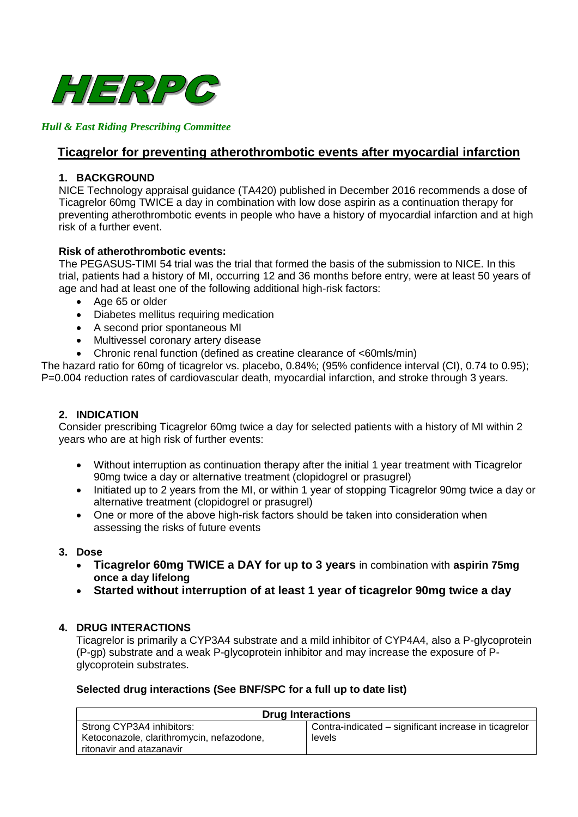

### *Hull & East Riding Prescribing Committee*

# **Ticagrelor for preventing atherothrombotic events after myocardial infarction**

#### **1. BACKGROUND**

NICE Technology appraisal guidance (TA420) published in December 2016 recommends a dose of Ticagrelor 60mg TWICE a day in combination with low dose aspirin as a continuation therapy for preventing atherothrombotic events in people who have a history of myocardial infarction and at high risk of a further event.

#### **Risk of atherothrombotic events:**

The PEGASUS-TIMI 54 trial was the trial that formed the basis of the submission to NICE. In this trial, patients had a history of MI, occurring 12 and 36 months before entry, were at least 50 years of age and had at least one of the following additional high-risk factors:

- Age 65 or older
- Diabetes mellitus requiring medication
- A second prior spontaneous MI
- Multivessel coronary artery disease
- Chronic renal function (defined as creatine clearance of <60mls/min)

The hazard ratio for 60mg of ticagrelor vs. placebo, 0.84%; (95% confidence interval (CI), 0.74 to 0.95); P=0.004 reduction rates of cardiovascular death, myocardial infarction, and stroke through 3 years.

### **2. INDICATION**

Consider prescribing Ticagrelor 60mg twice a day for selected patients with a history of MI within 2 years who are at high risk of further events:

- Without interruption as continuation therapy after the initial 1 year treatment with Ticagrelor 90mg twice a day or alternative treatment (clopidogrel or prasugrel)
- Initiated up to 2 years from the MI, or within 1 year of stopping Ticagrelor 90mg twice a day or alternative treatment (clopidogrel or prasugrel)
- One or more of the above high-risk factors should be taken into consideration when assessing the risks of future events

#### **3. Dose**

- **Ticagrelor 60mg TWICE a DAY for up to 3 years** in combination with **aspirin 75mg once a day lifelong**
- **Started without interruption of at least 1 year of ticagrelor 90mg twice a day**

#### **4. DRUG INTERACTIONS**

Ticagrelor is primarily a CYP3A4 substrate and a mild inhibitor of CYP4A4, also a P-glycoprotein (P-gp) substrate and a weak P-glycoprotein inhibitor and may increase the exposure of Pglycoprotein substrates.

#### **Selected drug interactions (See BNF/SPC for a full up to date list)**

| <b>Drug Interactions</b>                  |                                                       |  |
|-------------------------------------------|-------------------------------------------------------|--|
| Strong CYP3A4 inhibitors:                 | Contra-indicated – significant increase in ticagrelor |  |
| Ketoconazole, clarithromycin, nefazodone, | levels                                                |  |
| ritonavir and atazanavir                  |                                                       |  |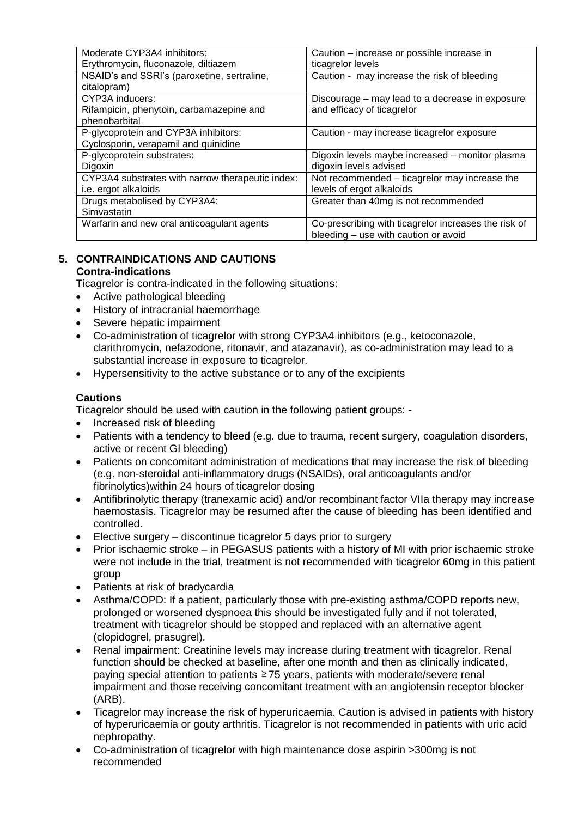| Moderate CYP3A4 inhibitors:                      | Caution – increase or possible increase in           |
|--------------------------------------------------|------------------------------------------------------|
| Erythromycin, fluconazole, diltiazem             | ticagrelor levels                                    |
| NSAID's and SSRI's (paroxetine, sertraline,      | Caution - may increase the risk of bleeding          |
| citalopram)                                      |                                                      |
| CYP3A inducers:                                  | Discourage – may lead to a decrease in exposure      |
| Rifampicin, phenytoin, carbamazepine and         | and efficacy of ticagrelor                           |
| phenobarbital                                    |                                                      |
| P-glycoprotein and CYP3A inhibitors:             | Caution - may increase ticagrelor exposure           |
| Cyclosporin, verapamil and quinidine             |                                                      |
| P-glycoprotein substrates:                       | Digoxin levels maybe increased - monitor plasma      |
| <b>Digoxin</b>                                   | digoxin levels advised                               |
| CYP3A4 substrates with narrow therapeutic index: | Not recommended – ticagrelor may increase the        |
| i.e. ergot alkaloids                             | levels of ergot alkaloids                            |
| Drugs metabolised by CYP3A4:                     | Greater than 40mg is not recommended                 |
| Simvastatin                                      |                                                      |
| Warfarin and new oral anticoagulant agents       | Co-prescribing with ticagrelor increases the risk of |
|                                                  | bleeding - use with caution or avoid                 |

#### **5. CONTRAINDICATIONS AND CAUTIONS Contra-indications**

Ticagrelor is contra-indicated in the following situations:

- Active pathological bleeding
- History of intracranial haemorrhage
- Severe hepatic impairment
- Co-administration of ticagrelor with strong CYP3A4 inhibitors (e.g., ketoconazole, clarithromycin, nefazodone, ritonavir, and atazanavir), as co-administration may lead to a substantial increase in exposure to ticagrelor.
- Hypersensitivity to the active substance or to any of the excipients

## **Cautions**

Ticagrelor should be used with caution in the following patient groups: -

- Increased risk of bleeding
- Patients with a tendency to bleed (e.g. due to trauma, recent surgery, coagulation disorders, active or recent GI bleeding)
- Patients on concomitant administration of medications that may increase the risk of bleeding (e.g. non-steroidal anti-inflammatory drugs (NSAIDs), oral anticoagulants and/or fibrinolytics)within 24 hours of ticagrelor dosing
- Antifibrinolytic therapy (tranexamic acid) and/or recombinant factor VIIa therapy may increase haemostasis. Ticagrelor may be resumed after the cause of bleeding has been identified and controlled.
- Elective surgery discontinue ticagrelor 5 days prior to surgery
- Prior ischaemic stroke in PEGASUS patients with a history of MI with prior ischaemic stroke were not include in the trial, treatment is not recommended with ticagrelor 60mg in this patient group
- Patients at risk of bradycardia
- Asthma/COPD: If a patient, particularly those with pre-existing asthma/COPD reports new, prolonged or worsened dyspnoea this should be investigated fully and if not tolerated, treatment with ticagrelor should be stopped and replaced with an alternative agent (clopidogrel, prasugrel).
- Renal impairment: Creatinine levels may increase during treatment with ticagrelor. Renal function should be checked at baseline, after one month and then as clinically indicated, paying special attention to patients 75 years, patients with moderate/severe renal impairment and those receiving concomitant treatment with an angiotensin receptor blocker (ARB).
- Ticagrelor may increase the risk of hyperuricaemia. Caution is advised in patients with history of hyperuricaemia or gouty arthritis. Ticagrelor is not recommended in patients with uric acid nephropathy.
- Co-administration of ticagrelor with high maintenance dose aspirin >300mg is not recommended